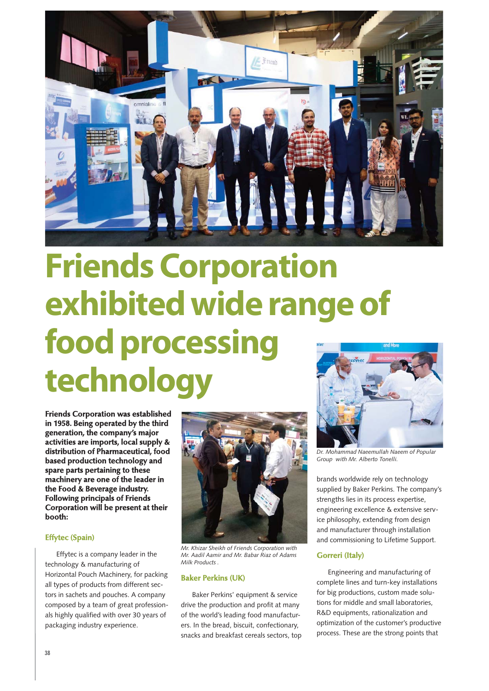

# **Friends Corporation exhibited wide range of food processing technology**

**Friends Corporation was established in 1958. Being operated by the third generation, the company's major activities are imports, local supply & distribution of Pharmaceutical, food based production technology and spare parts pertaining to these machinery are one of the leader in the Food & Beverage industry. Following principals of Friends Corporation will be present at their booth:**

# **Effytec (Spain)**

Effytec is a company leader in the technology & manufacturing of Horizontal Pouch Machinery, for packing all types of products from different sectors in sachets and pouches. A company composed by a team of great professionals highly qualified with over 30 years of packaging industry experience.



*Mr. Khizar Sheikh of Friends Corporation with Mr. Aadil Aamir and Mr. Babar Riaz of Adams Milk Products .*

## **Baker Perkins (UK)**

Baker Perkins' equipment & service drive the production and profit at many of the world's leading food manufacturers. In the bread, biscuit, confectionary, snacks and breakfast cereals sectors, top



*Dr. Mohammad Naeemullah Naeem of Popular Group with Mr. Alberto Tonelli.*

brands worldwide rely on technology supplied by Baker Perkins. The company's strengths lies in its process expertise, engineering excellence & extensive service philosophy, extending from design and manufacturer through installation and commissioning to Lifetime Support.

### **Gorreri (Italy)**

Engineering and manufacturing of complete lines and turn-key installations for big productions, custom made solutions for middle and small laboratories, R&D equipments, rationalization and optimization of the customer's productive process. These are the strong points that